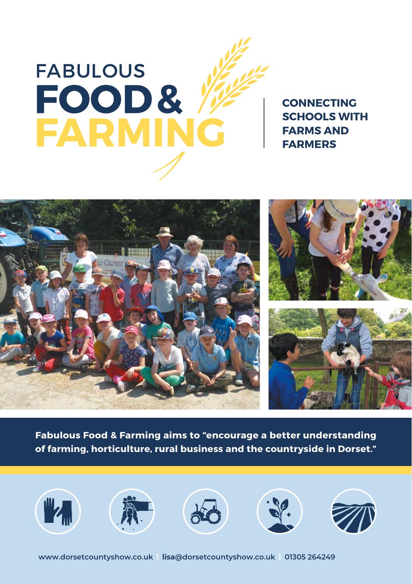

**CONNECTING SCHOOLS WITH FARMS AND FADMEDS** 



**Fabulous Food & Farming aims to "encourage a better understanding of farming, horticulture, rural business and the countryside in Dorset."**

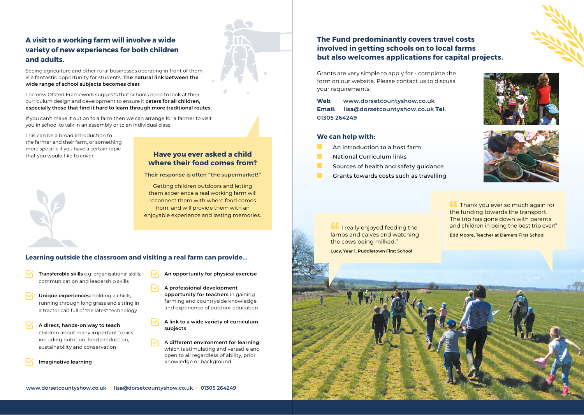## **A visit to a working farm will involve a wide variety of new experiences for both children and adults.**

Seeing agriculture and other rural businesses operating in front of them is a fantastic opportunity for students. **The natural link between the wide range of school subjects becomes clear**.

The new Ofsted Framework suggests that schools need to look at their curriculum design and development to ensure it **caters for all children, especially those that find it hard to learn through more traditional routes.**

If you can't make it out on to a farm then we can arrange for a farmer to visit you in school to talk in an assembly or to an individual class.

This can be a broad introduction to the farmer and their farm, or something more specific if you have a certain topic that you would like to cover. **Have you ever asked a child** 



# **where their food comes from?**

#### **Their response is often "the supermarket!"**

Getting children outdoors and letting them experience a real working farm will reconnect them with where food comes from, and will provide them with an enjoyable experience and lasting memories.

#### **Learning outside the classroom and visiting a real farm can provide...**

- **Transferable skills** e.g. organisational skills, communication and leadership skills
- **Unique experiences:** holding a chick, running through long grass and sitting in a tractor cab full of the latest technology
- **A direct, hands-on way to teach** children about many important topics including nutrition, food production, sustainability and conservation
- **Imaginative learning**
- **An opportunity for physical exercise**
- **A professional development opportunity for teachers** in gaining farming and countryside knowledge and experience of outdoor education
- **A link to a wide variety of curriculum subjects**
- **A different environment for learning** which is stimulating and versatile and open to all regardless of ability, prior knowledge or background

## **The Fund predominantly covers travel costs involved in getting schools on to local farms but also welcomes applications for capital projects.**

Grants are very simple to apply for - complete the form on our website. Please contact us to discuss your requirements.

**Web: www.dorsetcountyshow.co.uk Email: lisa@dorsetcountyshow.co.uk Tel: 01305 264249**

#### **We can help with:**

- An introduction to a host farm
- National Curriculum links
- **The State** Sources of health and safety guidance
	- Grants towards costs such as travelling





**If** I really enjoyed feeding the lambs and calves and watching the cows being milked."

**Lucy, Year 1, Puddletown First School**

the funding towards the transport. The trip has gone down with parents and children in being the best trip ever!"

**Edd Moore, Teacher at Damers First School**

**Thank you ever so much again for**